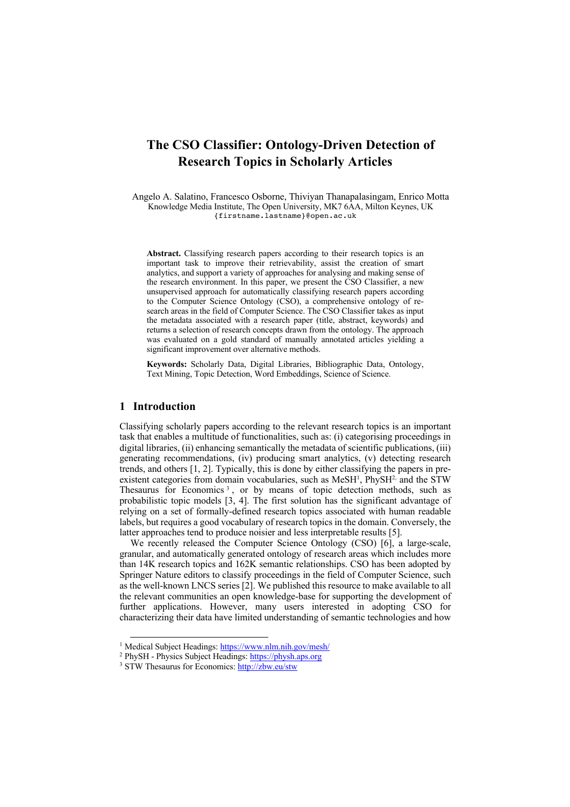# **The CSO Classifier: Ontology-Driven Detection of Research Topics in Scholarly Articles**

Angelo A. Salatino, Francesco Osborne, Thiviyan Thanapalasingam, Enrico Motta Knowledge Media Institute, The Open University, MK7 6AA, Milton Keynes, UK {firstname.lastname}@open.ac.uk

**Abstract.** Classifying research papers according to their research topics is an important task to improve their retrievability, assist the creation of smart analytics, and support a variety of approaches for analysing and making sense of the research environment. In this paper, we present the CSO Classifier, a new unsupervised approach for automatically classifying research papers according to the Computer Science Ontology (CSO), a comprehensive ontology of research areas in the field of Computer Science. The CSO Classifier takes as input the metadata associated with a research paper (title, abstract, keywords) and returns a selection of research concepts drawn from the ontology. The approach was evaluated on a gold standard of manually annotated articles yielding a significant improvement over alternative methods.

**Keywords:** Scholarly Data, Digital Libraries, Bibliographic Data, Ontology, Text Mining, Topic Detection, Word Embeddings, Science of Science.

# **1 Introduction**

Classifying scholarly papers according to the relevant research topics is an important task that enables a multitude of functionalities, such as: (i) categorising proceedings in digital libraries, (ii) enhancing semantically the metadata of scientific publications, (iii) generating recommendations, (iv) producing smart analytics, (v) detecting research trends, and others [1, 2]. Typically, this is done by either classifying the papers in preexistent categories from domain vocabularies, such as MeSH<sup>1</sup>, PhySH<sup>2,</sup> and the STW Thesaurus for Economics<sup>3</sup>, or by means of topic detection methods, such as probabilistic topic models [3, 4]. The first solution has the significant advantage of relying on a set of formally-defined research topics associated with human readable labels, but requires a good vocabulary of research topics in the domain. Conversely, the latter approaches tend to produce noisier and less interpretable results [5].

We recently released the Computer Science Ontology (CSO) [6], a large-scale, granular, and automatically generated ontology of research areas which includes more than 14K research topics and 162K semantic relationships. CSO has been adopted by Springer Nature editors to classify proceedings in the field of Computer Science, such as the well-known LNCS series [2]. We published this resource to make available to all the relevant communities an open knowledge-base for supporting the development of further applications. However, many users interested in adopting CSO for characterizing their data have limited understanding of semantic technologies and how

<sup>&</sup>lt;sup>1</sup> Medical Subject Headings: https://www.nlm.nih.gov/mesh/

<sup>2</sup> PhySH - Physics Subject Headings: https://physh.aps.org

<sup>&</sup>lt;sup>3</sup> STW Thesaurus for Economics: http://zbw.eu/stw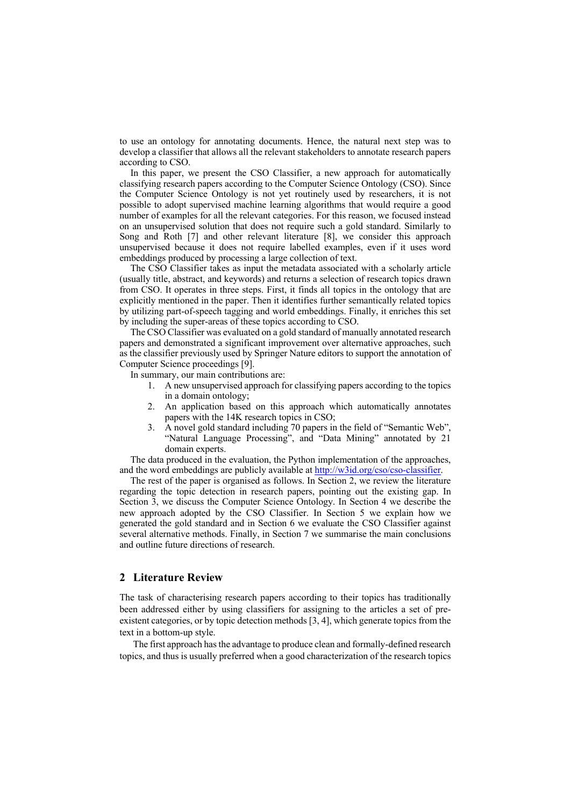to use an ontology for annotating documents. Hence, the natural next step was to develop a classifier that allows all the relevant stakeholders to annotate research papers according to CSO.

In this paper, we present the CSO Classifier, a new approach for automatically classifying research papers according to the Computer Science Ontology (CSO). Since the Computer Science Ontology is not yet routinely used by researchers, it is not possible to adopt supervised machine learning algorithms that would require a good number of examples for all the relevant categories. For this reason, we focused instead on an unsupervised solution that does not require such a gold standard. Similarly to Song and Roth [7] and other relevant literature [8], we consider this approach unsupervised because it does not require labelled examples, even if it uses word embeddings produced by processing a large collection of text.

The CSO Classifier takes as input the metadata associated with a scholarly article (usually title, abstract, and keywords) and returns a selection of research topics drawn from CSO. It operates in three steps. First, it finds all topics in the ontology that are explicitly mentioned in the paper. Then it identifies further semantically related topics by utilizing part-of-speech tagging and world embeddings. Finally, it enriches this set by including the super-areas of these topics according to CSO.

The CSO Classifier was evaluated on a gold standard of manually annotated research papers and demonstrated a significant improvement over alternative approaches, such as the classifier previously used by Springer Nature editors to support the annotation of Computer Science proceedings [9].

In summary, our main contributions are:

- 1. A new unsupervised approach for classifying papers according to the topics in a domain ontology;
- 2. An application based on this approach which automatically annotates papers with the 14K research topics in CSO;
- 3. A novel gold standard including 70 papers in the field of "Semantic Web", "Natural Language Processing", and "Data Mining" annotated by 21 domain experts.

The data produced in the evaluation, the Python implementation of the approaches, and the word embeddings are publicly available at http://w3id.org/cso/cso-classifier.

The rest of the paper is organised as follows. In Section 2, we review the literature regarding the topic detection in research papers, pointing out the existing gap. In Section 3, we discuss the Computer Science Ontology. In Section 4 we describe the new approach adopted by the CSO Classifier. In Section 5 we explain how we generated the gold standard and in Section 6 we evaluate the CSO Classifier against several alternative methods. Finally, in Section 7 we summarise the main conclusions and outline future directions of research.

### **2 Literature Review**

The task of characterising research papers according to their topics has traditionally been addressed either by using classifiers for assigning to the articles a set of preexistent categories, or by topic detection methods [3, 4], which generate topics from the text in a bottom-up style.

The first approach has the advantage to produce clean and formally-defined research topics, and thus is usually preferred when a good characterization of the research topics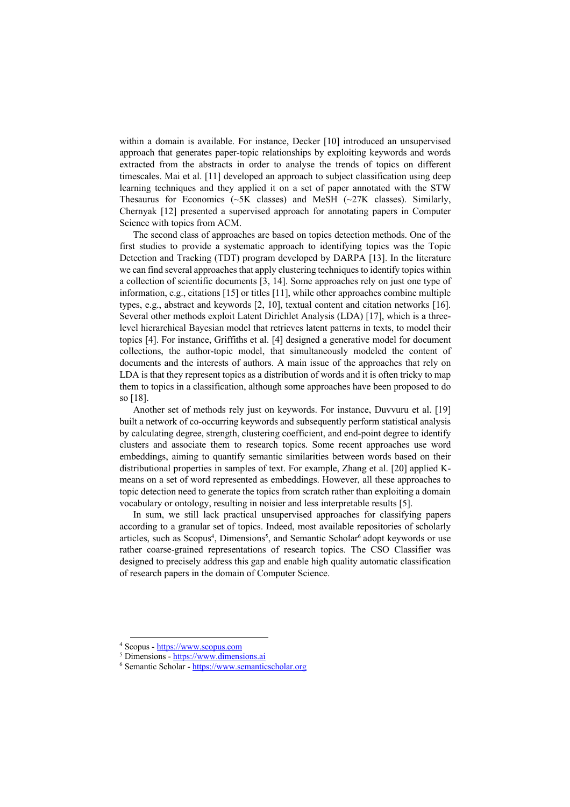within a domain is available. For instance, Decker [10] introduced an unsupervised approach that generates paper-topic relationships by exploiting keywords and words extracted from the abstracts in order to analyse the trends of topics on different timescales. Mai et al. [11] developed an approach to subject classification using deep learning techniques and they applied it on a set of paper annotated with the STW Thesaurus for Economics (~5K classes) and MeSH (~27K classes). Similarly, Chernyak [12] presented a supervised approach for annotating papers in Computer Science with topics from ACM.

The second class of approaches are based on topics detection methods. One of the first studies to provide a systematic approach to identifying topics was the Topic Detection and Tracking (TDT) program developed by DARPA [13]. In the literature we can find several approaches that apply clustering techniques to identify topics within a collection of scientific documents [3, 14]. Some approaches rely on just one type of information, e.g., citations [15] or titles [11], while other approaches combine multiple types, e.g., abstract and keywords [2, 10], textual content and citation networks [16]. Several other methods exploit Latent Dirichlet Analysis (LDA) [17], which is a threelevel hierarchical Bayesian model that retrieves latent patterns in texts, to model their topics [4]. For instance, Griffiths et al. [4] designed a generative model for document collections, the author-topic model, that simultaneously modeled the content of documents and the interests of authors. A main issue of the approaches that rely on LDA is that they represent topics as a distribution of words and it is often tricky to map them to topics in a classification, although some approaches have been proposed to do so [18].

Another set of methods rely just on keywords. For instance, Duvvuru et al. [19] built a network of co-occurring keywords and subsequently perform statistical analysis by calculating degree, strength, clustering coefficient, and end-point degree to identify clusters and associate them to research topics. Some recent approaches use word embeddings, aiming to quantify semantic similarities between words based on their distributional properties in samples of text. For example, Zhang et al. [20] applied Kmeans on a set of word represented as embeddings. However, all these approaches to topic detection need to generate the topics from scratch rather than exploiting a domain vocabulary or ontology, resulting in noisier and less interpretable results [5].

In sum, we still lack practical unsupervised approaches for classifying papers according to a granular set of topics. Indeed, most available repositories of scholarly articles, such as Scopus<sup>4</sup>, Dimensions<sup>5</sup>, and Semantic Scholar<sup>6</sup> adopt keywords or use rather coarse-grained representations of research topics. The CSO Classifier was designed to precisely address this gap and enable high quality automatic classification of research papers in the domain of Computer Science.

 <sup>4</sup> Scopus - https://www.scopus.com

<sup>5</sup> Dimensions - https://www.dimensions.ai

<sup>6</sup> Semantic Scholar - https://www.semanticscholar.org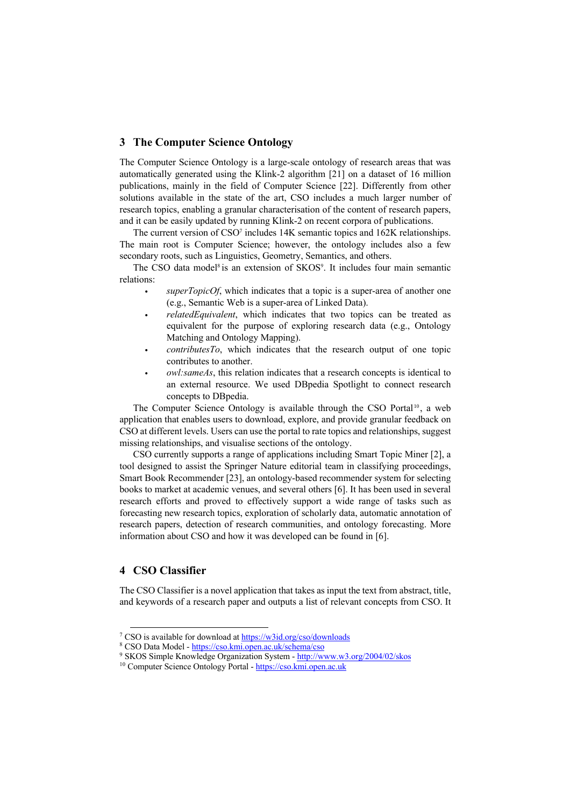# **3 The Computer Science Ontology**

The Computer Science Ontology is a large-scale ontology of research areas that was automatically generated using the Klink-2 algorithm [21] on a dataset of 16 million publications, mainly in the field of Computer Science [22]. Differently from other solutions available in the state of the art, CSO includes a much larger number of research topics, enabling a granular characterisation of the content of research papers, and it can be easily updated by running Klink-2 on recent corpora of publications.

The current version of CSO<sup>7</sup> includes 14K semantic topics and 162K relationships. The main root is Computer Science; however, the ontology includes also a few secondary roots, such as Linguistics, Geometry, Semantics, and others.

The CSO data model<sup>8</sup> is an extension of SKOS<sup>9</sup>. It includes four main semantic relations:

- *superTopicOf*, which indicates that a topic is a super-area of another one (e.g., Semantic Web is a super-area of Linked Data).
- *relatedEquivalent*, which indicates that two topics can be treated as equivalent for the purpose of exploring research data (e.g., Ontology Matching and Ontology Mapping).
- *contributesTo*, which indicates that the research output of one topic contributes to another.
- *owl:sameAs*, this relation indicates that a research concepts is identical to an external resource. We used DBpedia Spotlight to connect research concepts to DBpedia.

The Computer Science Ontology is available through the CSO Portal<sup>10</sup>, a web application that enables users to download, explore, and provide granular feedback on CSO at different levels. Users can use the portal to rate topics and relationships, suggest missing relationships, and visualise sections of the ontology.

CSO currently supports a range of applications including Smart Topic Miner [2], a tool designed to assist the Springer Nature editorial team in classifying proceedings, Smart Book Recommender [23], an ontology-based recommender system for selecting books to market at academic venues, and several others [6]. It has been used in several research efforts and proved to effectively support a wide range of tasks such as forecasting new research topics, exploration of scholarly data, automatic annotation of research papers, detection of research communities, and ontology forecasting. More information about CSO and how it was developed can be found in [6].

# **4 CSO Classifier**

The CSO Classifier is a novel application that takes as input the text from abstract, title, and keywords of a research paper and outputs a list of relevant concepts from CSO. It

<sup>&</sup>lt;sup>7</sup> CSO is available for download at https://w3id.org/cso/downloads

<sup>8</sup> CSO Data Model - https://cso.kmi.open.ac.uk/schema/cso

<sup>9</sup> SKOS Simple Knowledge Organization System - http://www.w3.org/2004/02/skos

<sup>&</sup>lt;sup>10</sup> Computer Science Ontology Portal - https://cso.kmi.open.ac.uk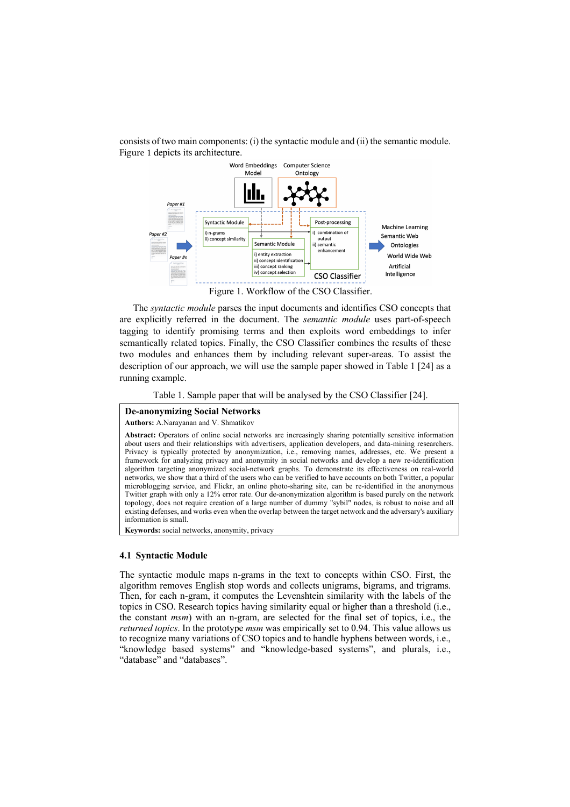

consists of two main components: (i) the syntactic module and (ii) the semantic module. Figure 1 depicts its architecture.

Figure 1. Workflow of the CSO Classifier.

The *syntactic module* parses the input documents and identifies CSO concepts that are explicitly referred in the document. The *semantic module* uses part-of-speech tagging to identify promising terms and then exploits word embeddings to infer semantically related topics. Finally, the CSO Classifier combines the results of these two modules and enhances them by including relevant super-areas. To assist the description of our approach, we will use the sample paper showed in Table 1 [24] as a running example.

Table 1. Sample paper that will be analysed by the CSO Classifier [24].

### **De-anonymizing Social Networks**

**Authors:** A.Narayanan and V. Shmatikov

**Abstract:** Operators of online social networks are increasingly sharing potentially sensitive information about users and their relationships with advertisers, application developers, and data-mining researchers. Privacy is typically protected by anonymization, i.e., removing names, addresses, etc. We present a framework for analyzing privacy and anonymity in social networks and develop a new re-identification algorithm targeting anonymized social-network graphs. To demonstrate its effectiveness on real-world networks, we show that a third of the users who can be verified to have accounts on both Twitter, a popular microblogging service, and Flickr, an online photo-sharing site, can be re-identified in the anonymous Twitter graph with only a 12% error rate. Our de-anonymization algorithm is based purely on the network topology, does not require creation of a large number of dummy "sybil" nodes, is robust to noise and all existing defenses, and works even when the overlap between the target network and the adversary's auxiliary information is small.

**Keywords:** social networks, anonymity, privacy

#### **4.1 Syntactic Module**

The syntactic module maps n-grams in the text to concepts within CSO. First, the algorithm removes English stop words and collects unigrams, bigrams, and trigrams. Then, for each n-gram, it computes the Levenshtein similarity with the labels of the topics in CSO. Research topics having similarity equal or higher than a threshold (i.e., the constant *msm*) with an n-gram, are selected for the final set of topics, i.e., the *returned topics*. In the prototype *msm* was empirically set to 0.94. This value allows us to recognize many variations of CSO topics and to handle hyphens between words, i.e., "knowledge based systems" and "knowledge-based systems", and plurals, i.e., "database" and "databases".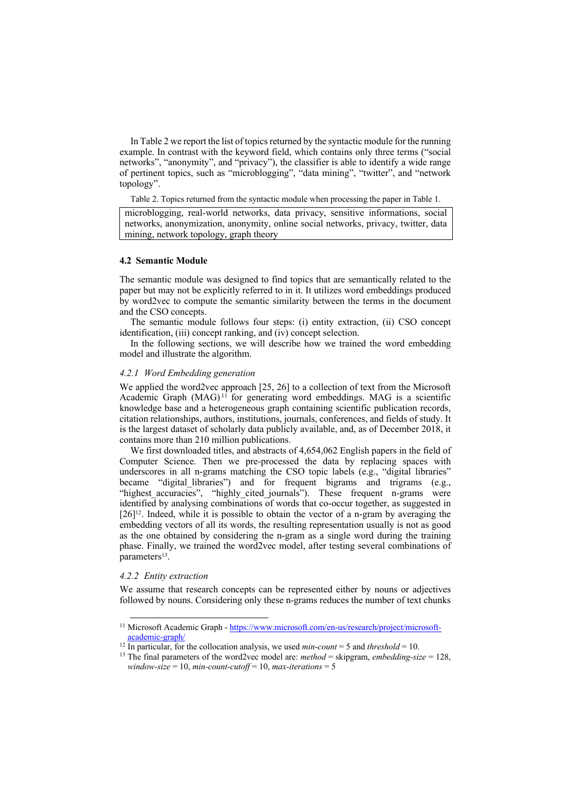In Table 2 we report the list of topics returned by the syntactic module for the running example. In contrast with the keyword field, which contains only three terms ("social networks", "anonymity", and "privacy"), the classifier is able to identify a wide range of pertinent topics, such as "microblogging", "data mining", "twitter", and "network topology".

Table 2. Topics returned from the syntactic module when processing the paper in Table 1.

microblogging, real-world networks, data privacy, sensitive informations, social networks, anonymization, anonymity, online social networks, privacy, twitter, data mining, network topology, graph theory

#### **4.2 Semantic Module**

The semantic module was designed to find topics that are semantically related to the paper but may not be explicitly referred to in it. It utilizes word embeddings produced by word2vec to compute the semantic similarity between the terms in the document and the CSO concepts.

The semantic module follows four steps: (i) entity extraction, (ii) CSO concept identification, (iii) concept ranking, and (iv) concept selection.

In the following sections, we will describe how we trained the word embedding model and illustrate the algorithm.

#### *4.2.1 Word Embedding generation*

We applied the word2vec approach [25, 26] to a collection of text from the Microsoft Academic Graph (MAG)<sup>11</sup> for generating word embeddings. MAG is a scientific knowledge base and a heterogeneous graph containing scientific publication records, citation relationships, authors, institutions, journals, conferences, and fields of study. It is the largest dataset of scholarly data publicly available, and, as of December 2018, it contains more than 210 million publications.

We first downloaded titles, and abstracts of 4,654,062 English papers in the field of Computer Science. Then we pre-processed the data by replacing spaces with underscores in all n-grams matching the CSO topic labels (e.g., "digital libraries" became "digital libraries") and for frequent bigrams and trigrams (e.g., "highest\_accuracies", "highly\_cited\_journals"). These frequent n-grams were identified by analysing combinations of words that co-occur together, as suggested in  $[26]^{12}$ . Indeed, while it is possible to obtain the vector of a n-gram by averaging the embedding vectors of all its words, the resulting representation usually is not as good as the one obtained by considering the n-gram as a single word during the training phase. Finally, we trained the word2vec model, after testing several combinations of parameters<sup>13</sup>.

### *4.2.2 Entity extraction*

We assume that research concepts can be represented either by nouns or adjectives followed by nouns. Considering only these n-grams reduces the number of text chunks

<sup>&</sup>lt;sup>11</sup> Microsoft Academic Graph - https://www.microsoft.com/en-us/research/project/microsoftacademic-graph/

 $12 \text{ In particular, for the collocation analysis, we used } min-count = 5 \text{ and } threshold = 10.$ 

<sup>&</sup>lt;sup>13</sup> The final parameters of the word2vec model are: *method* = skipgram, *embedding-size* = 128, *window-size* = 10, *min-count-cutoff* = 10, *max-iterations* = 5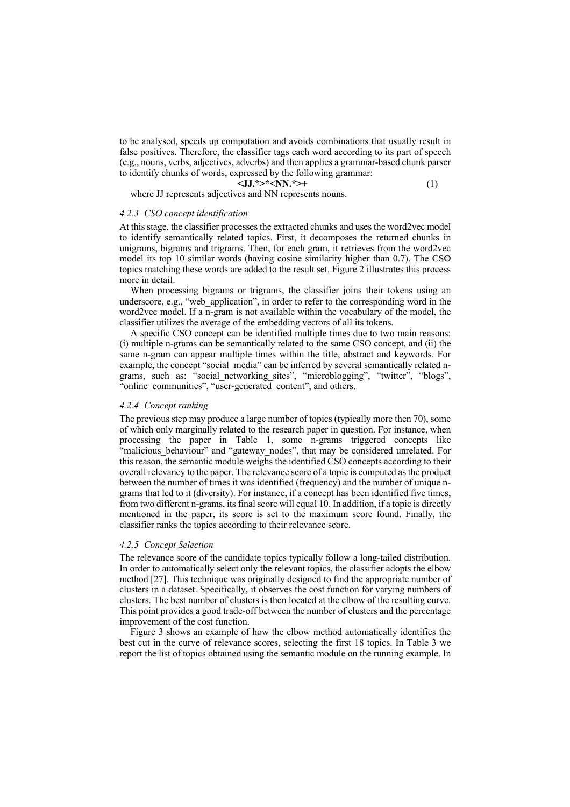to be analysed, speeds up computation and avoids combinations that usually result in false positives. Therefore, the classifier tags each word according to its part of speech (e.g., nouns, verbs, adjectives, adverbs) and then applies a grammar-based chunk parser to identify chunks of words, expressed by the following grammar:

**<JJ.\*>\*<NN.\*>+** (1)

where JJ represents adjectives and NN represents nouns.

### *4.2.3 CSO concept identification*

At this stage, the classifier processes the extracted chunks and uses the word2vec model to identify semantically related topics. First, it decomposes the returned chunks in unigrams, bigrams and trigrams. Then, for each gram, it retrieves from the word2vec model its top 10 similar words (having cosine similarity higher than 0.7). The CSO topics matching these words are added to the result set. Figure 2 illustrates this process more in detail.

When processing bigrams or trigrams, the classifier joins their tokens using an underscore, e.g., "web\_application", in order to refer to the corresponding word in the word2vec model. If a n-gram is not available within the vocabulary of the model, the classifier utilizes the average of the embedding vectors of all its tokens.

A specific CSO concept can be identified multiple times due to two main reasons: (i) multiple n-grams can be semantically related to the same CSO concept, and (ii) the same n-gram can appear multiple times within the title, abstract and keywords. For example, the concept "social media" can be inferred by several semantically related ngrams, such as: "social networking sites", "microblogging", "twitter", "blogs", "online communities", "user-generated content", and others.

#### *4.2.4 Concept ranking*

The previous step may produce a large number of topics (typically more then 70), some of which only marginally related to the research paper in question. For instance, when processing the paper in Table 1, some n-grams triggered concepts like "malicious behaviour" and "gateway nodes", that may be considered unrelated. For this reason, the semantic module weighs the identified CSO concepts according to their overall relevancy to the paper. The relevance score of a topic is computed as the product between the number of times it was identified (frequency) and the number of unique ngrams that led to it (diversity). For instance, if a concept has been identified five times, from two different n-grams, its final score will equal 10. In addition, if a topic is directly mentioned in the paper, its score is set to the maximum score found. Finally, the classifier ranks the topics according to their relevance score.

#### *4.2.5 Concept Selection*

The relevance score of the candidate topics typically follow a long-tailed distribution. In order to automatically select only the relevant topics, the classifier adopts the elbow method [27]. This technique was originally designed to find the appropriate number of clusters in a dataset. Specifically, it observes the cost function for varying numbers of clusters. The best number of clusters is then located at the elbow of the resulting curve. This point provides a good trade-off between the number of clusters and the percentage improvement of the cost function.

Figure 3 shows an example of how the elbow method automatically identifies the best cut in the curve of relevance scores, selecting the first 18 topics. In Table 3 we report the list of topics obtained using the semantic module on the running example. In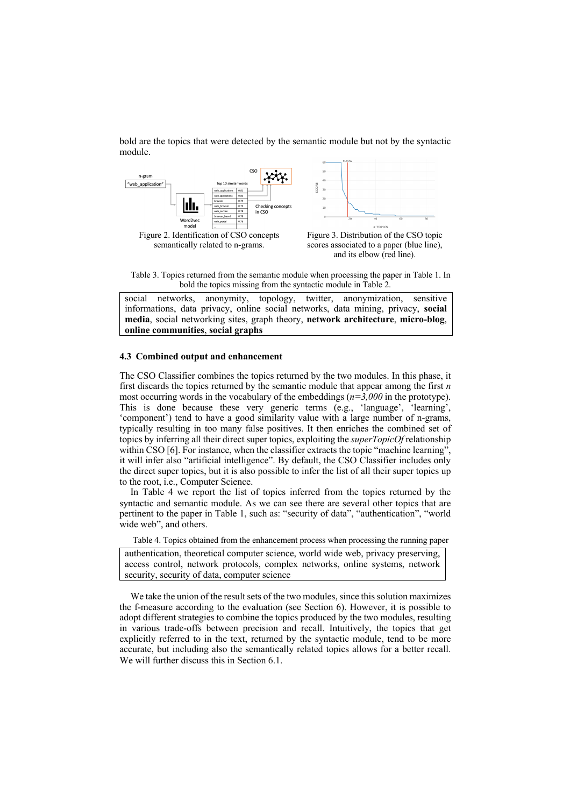bold are the topics that were detected by the semantic module but not by the syntactic module.



Table 3. Topics returned from the semantic module when processing the paper in Table 1. In bold the topics missing from the syntactic module in Table 2.

social networks, anonymity, topology, twitter, anonymization, sensitive informations, data privacy, online social networks, data mining, privacy, **social media**, social networking sites, graph theory, **network architecture**, **micro-blog**, **online communities**, **social graphs**

#### **4.3 Combined output and enhancement**

The CSO Classifier combines the topics returned by the two modules. In this phase, it first discards the topics returned by the semantic module that appear among the first *n* most occurring words in the vocabulary of the embeddings (*n=3,000* in the prototype). This is done because these very generic terms (e.g., 'language', 'learning', 'component') tend to have a good similarity value with a large number of n-grams, typically resulting in too many false positives. It then enriches the combined set of topics by inferring all their direct super topics, exploiting the *superTopicOf* relationship within CSO [6]. For instance, when the classifier extracts the topic "machine learning", it will infer also "artificial intelligence". By default, the CSO Classifier includes only the direct super topics, but it is also possible to infer the list of all their super topics up to the root, i.e., Computer Science.

In Table 4 we report the list of topics inferred from the topics returned by the syntactic and semantic module. As we can see there are several other topics that are pertinent to the paper in Table 1, such as: "security of data", "authentication", "world wide web", and others.

Table 4. Topics obtained from the enhancement process when processing the running paper

authentication, theoretical computer science, world wide web, privacy preserving, access control, network protocols, complex networks, online systems, network security, security of data, computer science

We take the union of the result sets of the two modules, since this solution maximizes the f-measure according to the evaluation (see Section 6). However, it is possible to adopt different strategies to combine the topics produced by the two modules, resulting in various trade-offs between precision and recall. Intuitively, the topics that get explicitly referred to in the text, returned by the syntactic module, tend to be more accurate, but including also the semantically related topics allows for a better recall. We will further discuss this in Section 6.1.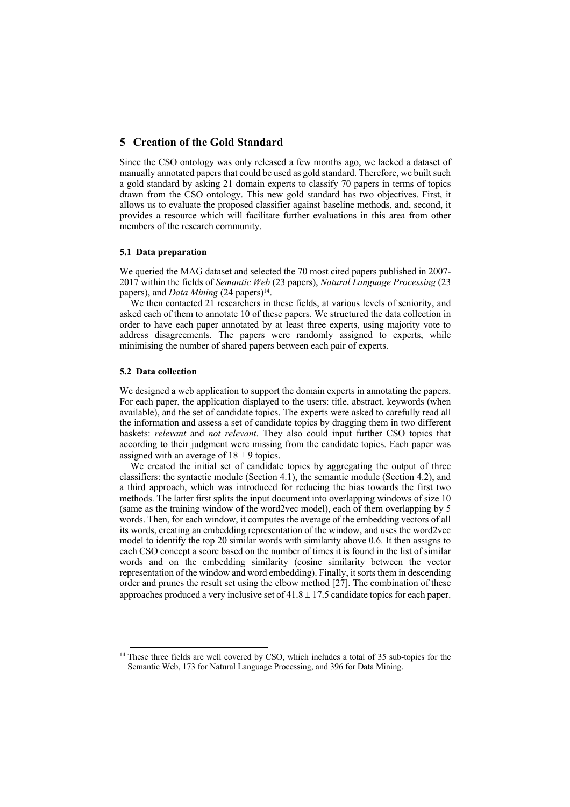# **5 Creation of the Gold Standard**

Since the CSO ontology was only released a few months ago, we lacked a dataset of manually annotated papers that could be used as gold standard. Therefore, we built such a gold standard by asking 21 domain experts to classify 70 papers in terms of topics drawn from the CSO ontology. This new gold standard has two objectives. First, it allows us to evaluate the proposed classifier against baseline methods, and, second, it provides a resource which will facilitate further evaluations in this area from other members of the research community.

#### **5.1 Data preparation**

We queried the MAG dataset and selected the 70 most cited papers published in 2007- 2017 within the fields of *Semantic Web* (23 papers), *Natural Language Processing* (23 papers), and *Data Mining* (24 papers)<sup>14</sup>.

We then contacted 21 researchers in these fields, at various levels of seniority, and asked each of them to annotate 10 of these papers. We structured the data collection in order to have each paper annotated by at least three experts, using majority vote to address disagreements. The papers were randomly assigned to experts, while minimising the number of shared papers between each pair of experts.

# **5.2 Data collection**

We designed a web application to support the domain experts in annotating the papers. For each paper, the application displayed to the users: title, abstract, keywords (when available), and the set of candidate topics. The experts were asked to carefully read all the information and assess a set of candidate topics by dragging them in two different baskets: *relevant* and *not relevant*. They also could input further CSO topics that according to their judgment were missing from the candidate topics. Each paper was assigned with an average of  $18 \pm 9$  topics.

We created the initial set of candidate topics by aggregating the output of three classifiers: the syntactic module (Section 4.1), the semantic module (Section 4.2), and a third approach, which was introduced for reducing the bias towards the first two methods. The latter first splits the input document into overlapping windows of size 10 (same as the training window of the word2vec model), each of them overlapping by 5 words. Then, for each window, it computes the average of the embedding vectors of all its words, creating an embedding representation of the window, and uses the word2vec model to identify the top 20 similar words with similarity above 0.6. It then assigns to each CSO concept a score based on the number of times it is found in the list of similar words and on the embedding similarity (cosine similarity between the vector representation of the window and word embedding). Finally, it sorts them in descending order and prunes the result set using the elbow method [27]. The combination of these approaches produced a very inclusive set of  $41.8 \pm 17.5$  candidate topics for each paper.

 $14$  These three fields are well covered by CSO, which includes a total of 35 sub-topics for the Semantic Web, 173 for Natural Language Processing, and 396 for Data Mining.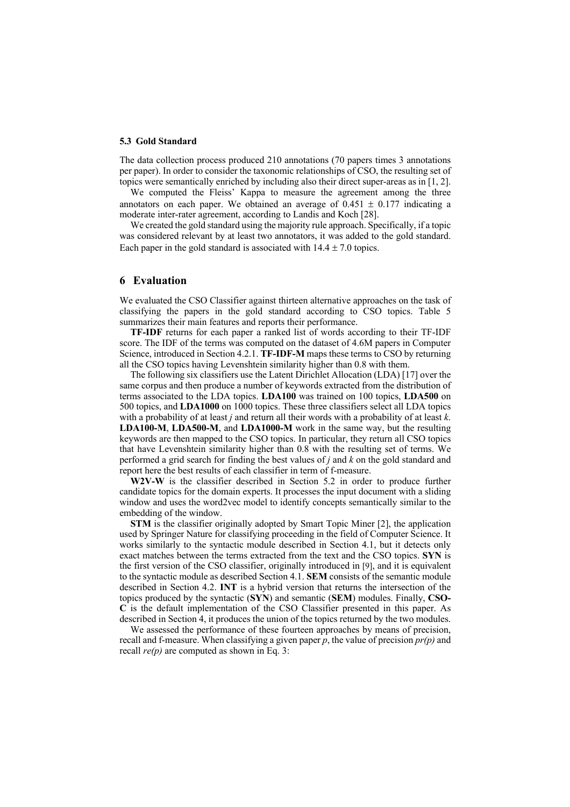### **5.3 Gold Standard**

The data collection process produced 210 annotations (70 papers times 3 annotations per paper). In order to consider the taxonomic relationships of CSO, the resulting set of topics were semantically enriched by including also their direct super-areas as in [1, 2].

We computed the Fleiss' Kappa to measure the agreement among the three annotators on each paper. We obtained an average of  $0.451 \pm 0.177$  indicating a moderate inter-rater agreement, according to Landis and Koch [28].

We created the gold standard using the majority rule approach. Specifically, if a topic was considered relevant by at least two annotators, it was added to the gold standard. Each paper in the gold standard is associated with  $14.4 \pm 7.0$  topics.

# **6 Evaluation**

We evaluated the CSO Classifier against thirteen alternative approaches on the task of classifying the papers in the gold standard according to CSO topics. Table 5 summarizes their main features and reports their performance.

**TF-IDF** returns for each paper a ranked list of words according to their TF-IDF score. The IDF of the terms was computed on the dataset of 4.6M papers in Computer Science, introduced in Section 4.2.1. **TF-IDF-M** maps these terms to CSO by returning all the CSO topics having Levenshtein similarity higher than 0.8 with them.

The following six classifiers use the Latent Dirichlet Allocation (LDA) [17] over the same corpus and then produce a number of keywords extracted from the distribution of terms associated to the LDA topics. **LDA100** was trained on 100 topics, **LDA500** on 500 topics, and **LDA1000** on 1000 topics. These three classifiers select all LDA topics with a probability of at least *j* and return all their words with a probability of at least *k*. **LDA100-M**, **LDA500-M**, and **LDA1000-M** work in the same way, but the resulting keywords are then mapped to the CSO topics. In particular, they return all CSO topics that have Levenshtein similarity higher than 0.8 with the resulting set of terms. We performed a grid search for finding the best values of *j* and *k* on the gold standard and report here the best results of each classifier in term of f-measure.

**W2V-W** is the classifier described in Section 5.2 in order to produce further candidate topics for the domain experts. It processes the input document with a sliding window and uses the word2vec model to identify concepts semantically similar to the embedding of the window.

**STM** is the classifier originally adopted by Smart Topic Miner [2], the application used by Springer Nature for classifying proceeding in the field of Computer Science. It works similarly to the syntactic module described in Section 4.1, but it detects only exact matches between the terms extracted from the text and the CSO topics. **SYN** is the first version of the CSO classifier, originally introduced in [9], and it is equivalent to the syntactic module as described Section 4.1. **SEM** consists of the semantic module described in Section 4.2. **INT** is a hybrid version that returns the intersection of the topics produced by the syntactic (**SYN**) and semantic (**SEM**) modules. Finally, **CSO-C** is the default implementation of the CSO Classifier presented in this paper. As described in Section 4, it produces the union of the topics returned by the two modules.

We assessed the performance of these fourteen approaches by means of precision, recall and f-measure. When classifying a given paper *p*, the value of precision *pr(p)* and recall *re(p)* are computed as shown in Eq. 3: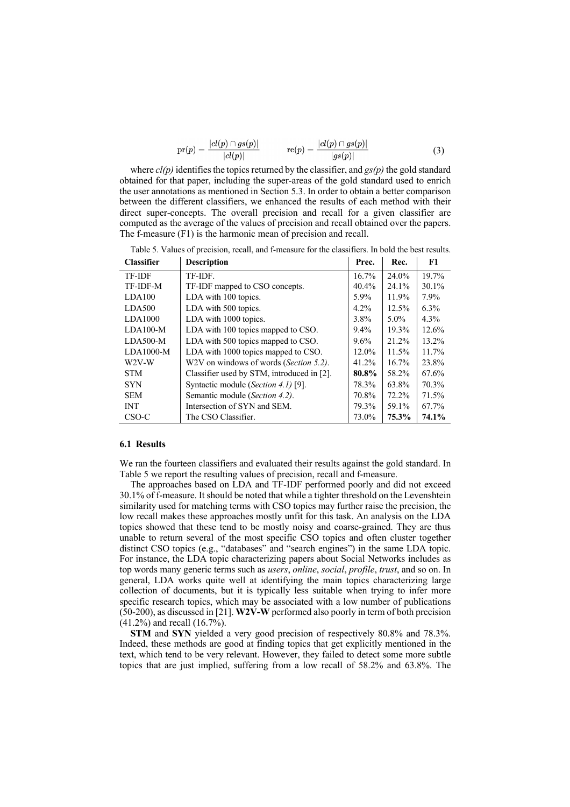$$
\mathrm{pr}(p) = \frac{|cl(p) \cap gs(p)|}{|cl(p)|} \qquad \qquad \mathrm{re}(p) = \frac{|cl(p) \cap gs(p)|}{|gs(p)|} \qquad \qquad (3)
$$

where *cl(p)* identifies the topics returned by the classifier, and *gs(p)* the gold standard obtained for that paper, including the super-areas of the gold standard used to enrich the user annotations as mentioned in Section 5.3. In order to obtain a better comparison between the different classifiers, we enhanced the results of each method with their direct super-concepts. The overall precision and recall for a given classifier are computed as the average of the values of precision and recall obtained over the papers. The f-measure (F1) is the harmonic mean of precision and recall.

Table 5. Values of precision, recall, and f-measure for the classifiers. In bold the best results.

| <b>Classifier</b>  | <b>Description</b>                              | Prec.    | Rec.     | F1       |
|--------------------|-------------------------------------------------|----------|----------|----------|
| <b>TF-IDF</b>      | TF-IDF.                                         | $16.7\%$ | 24.0%    | 19.7%    |
| TF-IDF-M           | TF-IDF mapped to CSO concepts.                  | 40.4%    | 24.1%    | 30.1%    |
| LDA100             | LDA with 100 topics.                            | $5.9\%$  | 11.9%    | $7.9\%$  |
| LDA500             | LDA with 500 topics.                            | $4.2\%$  | 12.5%    | $6.3\%$  |
| LDA1000            | LDA with 1000 topics.                           | 3.8%     | $5.0\%$  | $4.3\%$  |
| $LDA100-M$         | LDA with 100 topics mapped to CSO.              | $9.4\%$  | 19.3%    | 12.6%    |
| $LDA500-M$         | LDA with 500 topics mapped to CSO.              | $9.6\%$  | 21.2%    | 13.2%    |
| $LDA1000-M$        | LDA with 1000 topics mapped to CSO.             | 12.0%    | 11.5%    | $11.7\%$ |
| W <sub>2</sub> V-W | W2V on windows of words ( <i>Section 5.2</i> ). | 41.2%    | $16.7\%$ | 23.8%    |
| <b>STM</b>         | Classifier used by STM, introduced in [2].      | 80.8%    | 58.2%    | 67.6%    |
| <b>SYN</b>         | Syntactic module (Section 4.1) [9].             | 78.3%    | 63.8%    | 70.3%    |
| <b>SEM</b>         | Semantic module (Section 4.2).                  | 70.8%    | 72.2%    | 71.5%    |
| <b>INT</b>         | Intersection of SYN and SEM.                    | 79.3%    | 59.1%    | 67.7%    |
| CSO-C              | The CSO Classifier.                             | 73.0%    | 75.3%    | 74.1%    |

### **6.1 Results**

We ran the fourteen classifiers and evaluated their results against the gold standard. In Table 5 we report the resulting values of precision, recall and f-measure.

The approaches based on LDA and TF-IDF performed poorly and did not exceed 30.1% of f-measure. It should be noted that while a tighter threshold on the Levenshtein similarity used for matching terms with CSO topics may further raise the precision, the low recall makes these approaches mostly unfit for this task. An analysis on the LDA topics showed that these tend to be mostly noisy and coarse-grained. They are thus unable to return several of the most specific CSO topics and often cluster together distinct CSO topics (e.g., "databases" and "search engines") in the same LDA topic. For instance, the LDA topic characterizing papers about Social Networks includes as top words many generic terms such as *users*, *online*, *social*, *profile*, *trust*, and so on. In general, LDA works quite well at identifying the main topics characterizing large collection of documents, but it is typically less suitable when trying to infer more specific research topics, which may be associated with a low number of publications (50-200), as discussed in [21]. **W2V-W** performed also poorly in term of both precision (41.2%) and recall (16.7%).

**STM** and **SYN** yielded a very good precision of respectively 80.8% and 78.3%. Indeed, these methods are good at finding topics that get explicitly mentioned in the text, which tend to be very relevant. However, they failed to detect some more subtle topics that are just implied, suffering from a low recall of 58.2% and 63.8%. The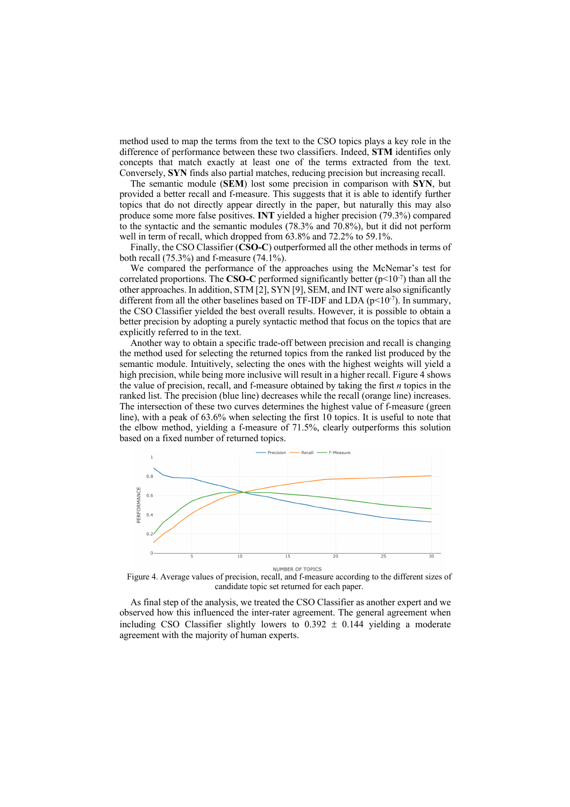method used to map the terms from the text to the CSO topics plays a key role in the difference of performance between these two classifiers. Indeed, **STM** identifies only concepts that match exactly at least one of the terms extracted from the text. Conversely, **SYN** finds also partial matches, reducing precision but increasing recall.

The semantic module (**SEM**) lost some precision in comparison with **SYN**, but provided a better recall and f-measure. This suggests that it is able to identify further topics that do not directly appear directly in the paper, but naturally this may also produce some more false positives. **INT** yielded a higher precision (79.3%) compared to the syntactic and the semantic modules (78.3% and 70.8%), but it did not perform well in term of recall, which dropped from 63.8% and 72.2% to 59.1%.

Finally, the CSO Classifier (**CSO-C**) outperformed all the other methods in terms of both recall (75.3%) and f-measure (74.1%).

We compared the performance of the approaches using the McNemar's test for correlated proportions. The **CSO-C** performed significantly better  $(p<10<sup>-7</sup>)$  than all the other approaches. In addition, STM [2], SYN [9], SEM, and INT were also significantly different from all the other baselines based on TF-IDF and LDA ( $p<10^{-7}$ ). In summary, the CSO Classifier yielded the best overall results. However, it is possible to obtain a better precision by adopting a purely syntactic method that focus on the topics that are explicitly referred to in the text.

Another way to obtain a specific trade-off between precision and recall is changing the method used for selecting the returned topics from the ranked list produced by the semantic module. Intuitively, selecting the ones with the highest weights will yield a high precision, while being more inclusive will result in a higher recall. Figure 4 shows the value of precision, recall, and f-measure obtained by taking the first *n* topics in the ranked list. The precision (blue line) decreases while the recall (orange line) increases. The intersection of these two curves determines the highest value of f-measure (green line), with a peak of 63.6% when selecting the first 10 topics. It is useful to note that the elbow method, yielding a f-measure of 71.5%, clearly outperforms this solution based on a fixed number of returned topics.



Figure 4. Average values of precision, recall, and f-measure according to the different sizes of candidate topic set returned for each paper.

As final step of the analysis, we treated the CSO Classifier as another expert and we observed how this influenced the inter-rater agreement. The general agreement when including CSO Classifier slightly lowers to  $0.392 \pm 0.144$  yielding a moderate agreement with the majority of human experts.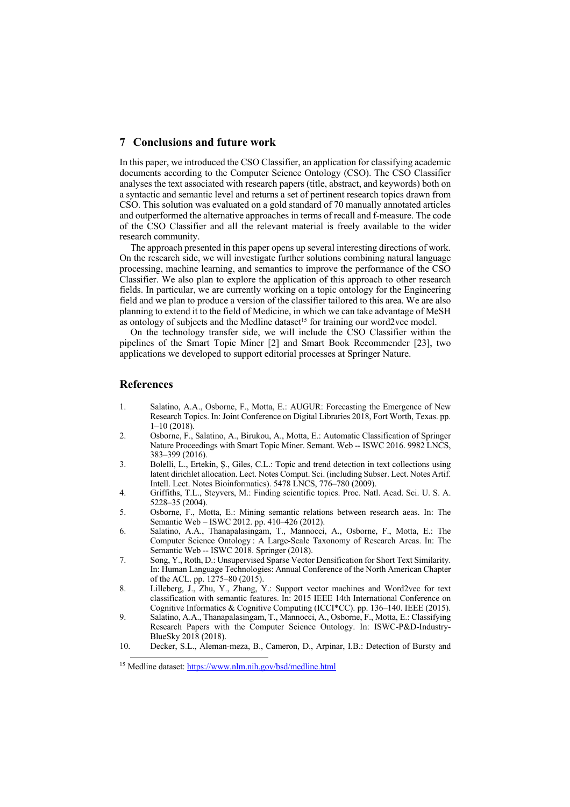# **7 Conclusions and future work**

In this paper, we introduced the CSO Classifier, an application for classifying academic documents according to the Computer Science Ontology (CSO). The CSO Classifier analyses the text associated with research papers (title, abstract, and keywords) both on a syntactic and semantic level and returns a set of pertinent research topics drawn from CSO. This solution was evaluated on a gold standard of 70 manually annotated articles and outperformed the alternative approaches in terms of recall and f-measure. The code of the CSO Classifier and all the relevant material is freely available to the wider research community.

The approach presented in this paper opens up several interesting directions of work. On the research side, we will investigate further solutions combining natural language processing, machine learning, and semantics to improve the performance of the CSO Classifier. We also plan to explore the application of this approach to other research fields. In particular, we are currently working on a topic ontology for the Engineering field and we plan to produce a version of the classifier tailored to this area. We are also planning to extend it to the field of Medicine, in which we can take advantage of MeSH as ontology of subjects and the Medline dataset<sup>15</sup> for training our word2vec model.

On the technology transfer side, we will include the CSO Classifier within the pipelines of the Smart Topic Miner [2] and Smart Book Recommender [23], two applications we developed to support editorial processes at Springer Nature.

## **References**

- 1. Salatino, A.A., Osborne, F., Motta, E.: AUGUR: Forecasting the Emergence of New Research Topics. In: Joint Conference on Digital Libraries 2018, Fort Worth, Texas. pp. 1–10 (2018).
- 2. Osborne, F., Salatino, A., Birukou, A., Motta, E.: Automatic Classification of Springer Nature Proceedings with Smart Topic Miner. Semant. Web -- ISWC 2016. 9982 LNCS, 383–399 (2016).
- 3. Bolelli, L., Ertekin, Ş., Giles, C.L.: Topic and trend detection in text collections using latent dirichlet allocation. Lect. Notes Comput. Sci. (including Subser. Lect. Notes Artif. Intell. Lect. Notes Bioinformatics). 5478 LNCS, 776–780 (2009).
- 4. Griffiths, T.L., Steyvers, M.: Finding scientific topics. Proc. Natl. Acad. Sci. U. S. A. 5228–35 (2004).
- 5. Osborne, F., Motta, E.: Mining semantic relations between research aeas. In: The Semantic Web – ISWC 2012. pp. 410–426 (2012).
- 6. Salatino, A.A., Thanapalasingam, T., Mannocci, A., Osborne, F., Motta, E.: The Computer Science Ontology : A Large-Scale Taxonomy of Research Areas. In: The Semantic Web -- ISWC 2018. Springer (2018).
- 7. Song, Y., Roth, D.: Unsupervised Sparse Vector Densification for Short Text Similarity. In: Human Language Technologies: Annual Conference of the North American Chapter of the ACL. pp. 1275–80 (2015).
- 8. Lilleberg, J., Zhu, Y., Zhang, Y.: Support vector machines and Word2vec for text classification with semantic features. In: 2015 IEEE 14th International Conference on Cognitive Informatics & Cognitive Computing (ICCI\*CC). pp. 136–140. IEEE (2015).
- 9. Salatino, A.A., Thanapalasingam, T., Mannocci, A., Osborne, F., Motta, E.: Classifying Research Papers with the Computer Science Ontology. In: ISWC-P&D-Industry-BlueSky 2018 (2018).
- 10. Decker, S.L., Aleman-meza, B., Cameron, D., Arpinar, I.B.: Detection of Bursty and

 <sup>15</sup> Medline dataset: https://www.nlm.nih.gov/bsd/medline.html